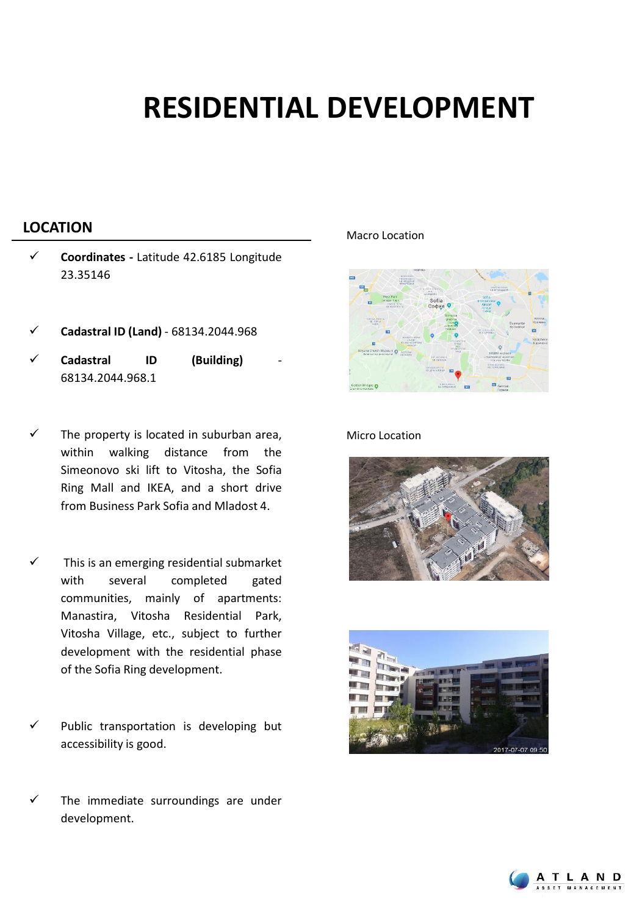## **RESIDENTIAL DEVELOPMENT**

### **LOCATION** Macro Location

- ✓ **Coordinates -** Latitude 42.6185 Longitude 23.35146
- ✓ **Cadastral ID (Land)** 68134.2044.968
- ✓ **Cadastral ID (Building)** 68134.2044.968.1
- The property is located in suburban area, within walking distance from the Simeonovo ski lift to Vitosha, the Sofia Ring Mall and IKEA, and a short drive from Business Park Sofia and Mladost 4.
- This is an emerging residential submarket with several completed gated communities, mainly of apartments: Manastira, Vitosha Residential Park, Vitosha Village, etc., subject to further development with the residential phase of the Sofia Ring development.
- Public transportation is developing but accessibility is good.
- The immediate surroundings are under development.



### Micro Location